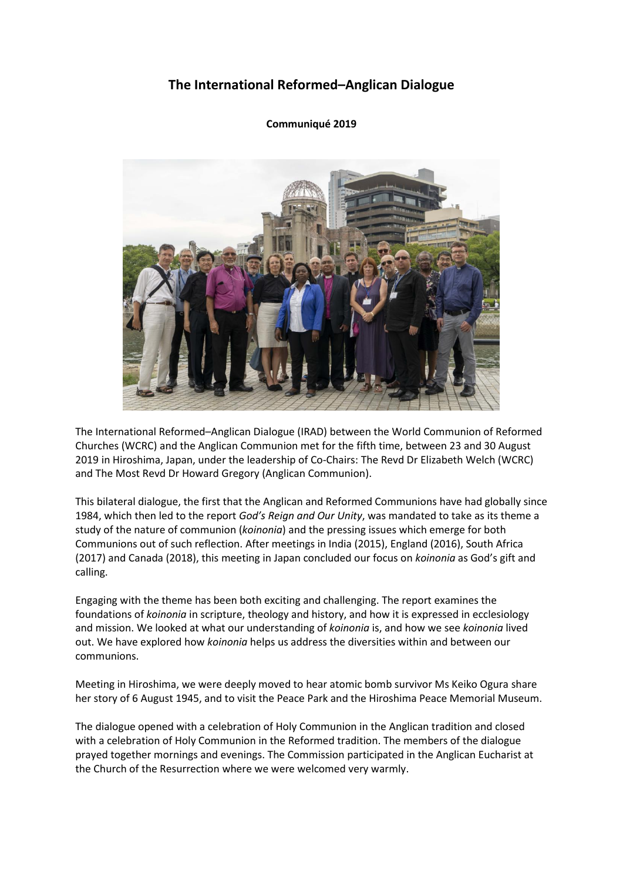# **The International Reformed–Anglican Dialogue**

## **Communiqué 2019**



The International Reformed–Anglican Dialogue (IRAD) between the World Communion of Reformed Churches (WCRC) and the Anglican Communion met for the fifth time, between 23 and 30 August 2019 in Hiroshima, Japan, under the leadership of Co-Chairs: The Revd Dr Elizabeth Welch (WCRC) and The Most Revd Dr Howard Gregory (Anglican Communion).

This bilateral dialogue, the first that the Anglican and Reformed Communions have had globally since 1984, which then led to the report *[God's Reign and Our Unity](http://www.anglicancommunion.org/media/104250/1984_aco_warc_gods_reign_our_unity.pdf)*, was mandated to take as its theme a study of the nature of communion (*koinonia*) and the pressing issues which emerge for both Communions out of such reflection. After meetings in India (2015), England (2016), South Africa (2017) and Canada (2018), this meeting in Japan concluded our focus on *koinonia* as God's gift and calling.

Engaging with the theme has been both exciting and challenging. The report examines the foundations of *koinonia* in scripture, theology and history, and how it is expressed in ecclesiology and mission. We looked at what our understanding of *koinonia* is, and how we see *koinonia* lived out. We have explored how *koinonia* helps us address the diversities within and between our communions.

Meeting in Hiroshima, we were deeply moved to hear atomic bomb survivor Ms Keiko Ogura share her story of 6 August 1945, and to visit the Peace Park and the Hiroshima Peace Memorial Museum.

The dialogue opened with a celebration of Holy Communion in the Anglican tradition and closed with a celebration of Holy Communion in the Reformed tradition. The members of the dialogue prayed together mornings and evenings. The Commission participated in the Anglican Eucharist at the Church of the Resurrection where we were welcomed very warmly.